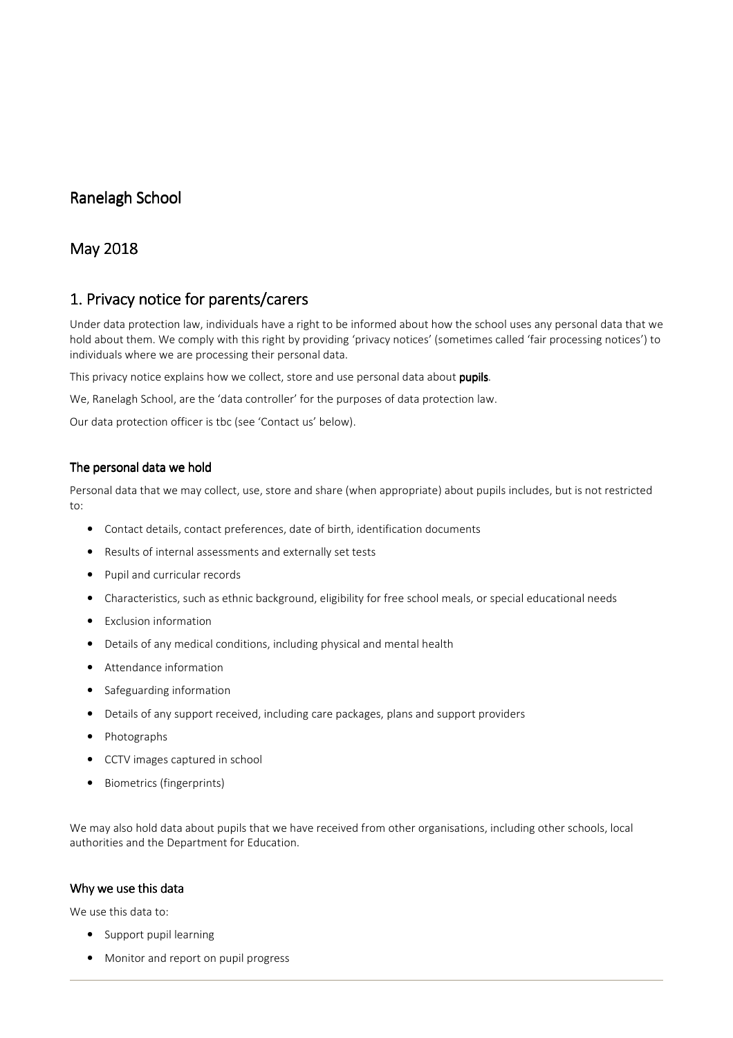# Ranelagh School

# May 2018

# 1. Privacy notice for parents/carers

Under data protection law, individuals have a right to be informed about how the school uses any personal data that we hold about them. We comply with this right by providing 'privacy notices' (sometimes called 'fair processing notices') to individuals where we are processing their personal data.

This privacy notice explains how we collect, store and use personal data about pupils.

We, Ranelagh School, are the 'data controller' for the purposes of data protection law.

Our data protection officer is tbc (see 'Contact us' below).

## The personal data we hold

Personal data that we may collect, use, store and share (when appropriate) about pupils includes, but is not restricted to:

- Contact details, contact preferences, date of birth, identification documents
- Results of internal assessments and externally set tests
- Pupil and curricular records
- Characteristics, such as ethnic background, eligibility for free school meals, or special educational needs
- Exclusion information
- Details of any medical conditions, including physical and mental health
- Attendance information
- Safeguarding information
- Details of any support received, including care packages, plans and support providers
- Photographs
- CCTV images captured in school
- Biometrics (fingerprints)

We may also hold data about pupils that we have received from other organisations, including other schools, local authorities and the Department for Education.

## Why we use this data

We use this data to:

- Support pupil learning
- Monitor and report on pupil progress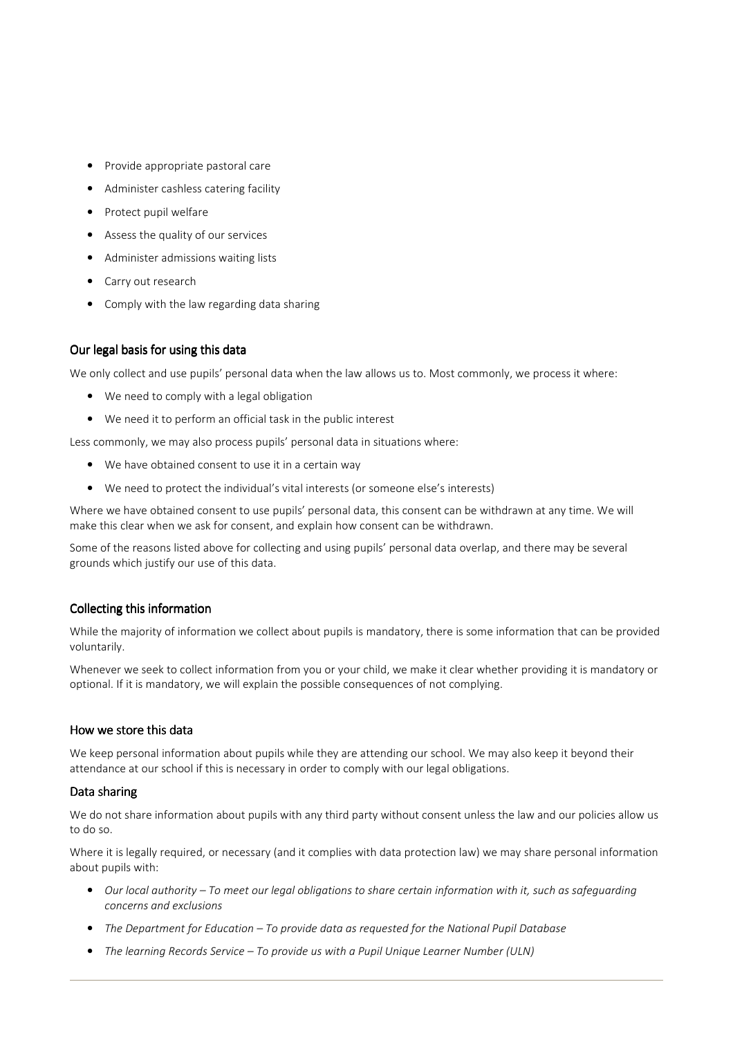- Provide appropriate pastoral care
- Administer cashless catering facility
- Protect pupil welfare
- Assess the quality of our services
- Administer admissions waiting lists
- Carry out research
- Comply with the law regarding data sharing

# Our legal basis for using this data

We only collect and use pupils' personal data when the law allows us to. Most commonly, we process it where:

- We need to comply with a legal obligation
- We need it to perform an official task in the public interest

Less commonly, we may also process pupils' personal data in situations where:

- We have obtained consent to use it in a certain way
- We need to protect the individual's vital interests (or someone else's interests)

Where we have obtained consent to use pupils' personal data, this consent can be withdrawn at any time. We will make this clear when we ask for consent, and explain how consent can be withdrawn.

Some of the reasons listed above for collecting and using pupils' personal data overlap, and there may be several grounds which justify our use of this data.

# Collecting this information

While the majority of information we collect about pupils is mandatory, there is some information that can be provided voluntarily.

Whenever we seek to collect information from you or your child, we make it clear whether providing it is mandatory or optional. If it is mandatory, we will explain the possible consequences of not complying.

## How we store this data

We keep personal information about pupils while they are attending our school. We may also keep it beyond their attendance at our school if this is necessary in order to comply with our legal obligations.

## Data sharing

We do not share information about pupils with any third party without consent unless the law and our policies allow us to do so.

Where it is legally required, or necessary (and it complies with data protection law) we may share personal information about pupils with:

- Our local authority To meet our legal obligations to share certain information with it, such as safeguarding concerns and exclusions
- The Department for Education To provide data as requested for the National Pupil Database
- The learning Records Service To provide us with a Pupil Unique Learner Number (ULN)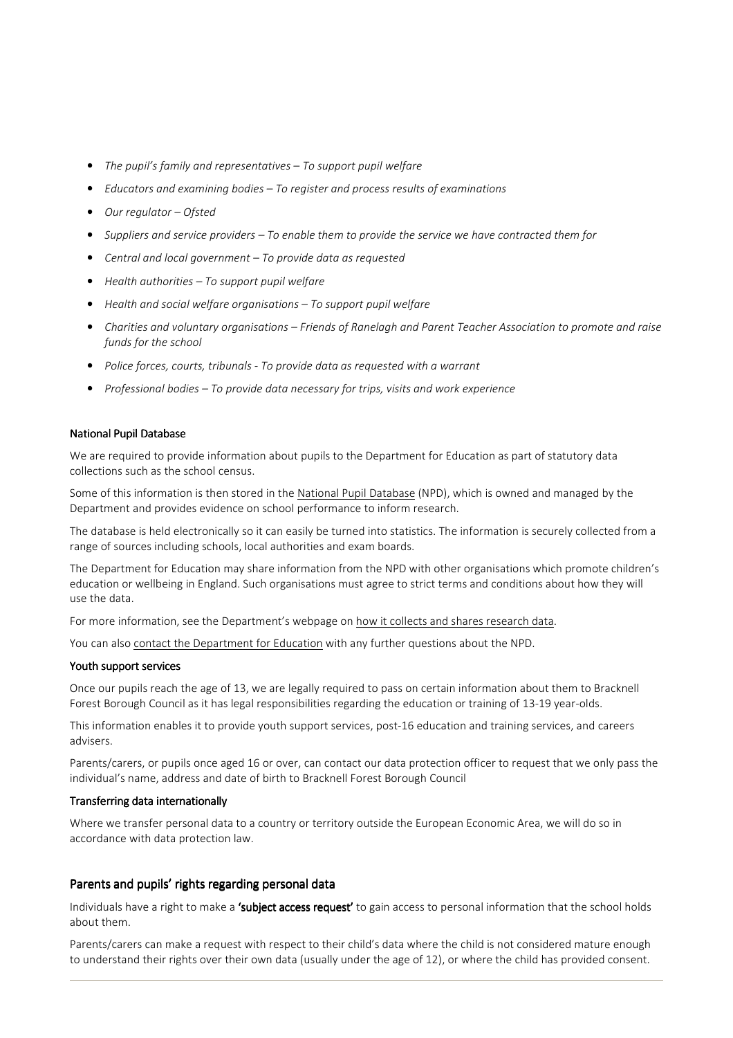- The pupil's family and representatives To support pupil welfare
- Educators and examining bodies To register and process results of examinations
- Our regulator Ofsted
- Suppliers and service providers To enable them to provide the service we have contracted them for
- Central and local government To provide data as requested
- Health authorities To support pupil welfare
- Health and social welfare organisations To support pupil welfare
- Charities and voluntary organisations Friends of Ranelagh and Parent Teacher Association to promote and raise funds for the school
- Police forces, courts, tribunals To provide data as requested with a warrant
- Professional bodies To provide data necessary for trips, visits and work experience

#### **National Pupil Database**

We are required to provide information about pupils to the Department for Education as part of statutory data collections such as the school census.

Some of this information is then stored in the National Pupil Database (NPD), which is owned and managed by the Department and provides evidence on school performance to inform research.

The database is held electronically so it can easily be turned into statistics. The information is securely collected from a range of sources including schools, local authorities and exam boards.

The Department for Education may share information from the NPD with other organisations which promote children's education or wellbeing in England. Such organisations must agree to strict terms and conditions about how they will use the data.

For more information, see the Department's webpage on how it collects and shares research data.

You can also contact the Department for Education with any further questions about the NPD.

#### Youth support services

Once our pupils reach the age of 13, we are legally required to pass on certain information about them to Bracknell Forest Borough Council as it has legal responsibilities regarding the education or training of 13-19 year-olds.

This information enables it to provide youth support services, post-16 education and training services, and careers advisers.

Parents/carers, or pupils once aged 16 or over, can contact our data protection officer to request that we only pass the individual's name, address and date of birth to Bracknell Forest Borough Council

#### Transferring data internationally

Where we transfer personal data to a country or territory outside the European Economic Area, we will do so in accordance with data protection law.

## Parents and pupils' rights regarding personal data

Individuals have a right to make a 'subject access request' to gain access to personal information that the school holds about them.

Parents/carers can make a request with respect to their child's data where the child is not considered mature enough to understand their rights over their own data (usually under the age of 12), or where the child has provided consent.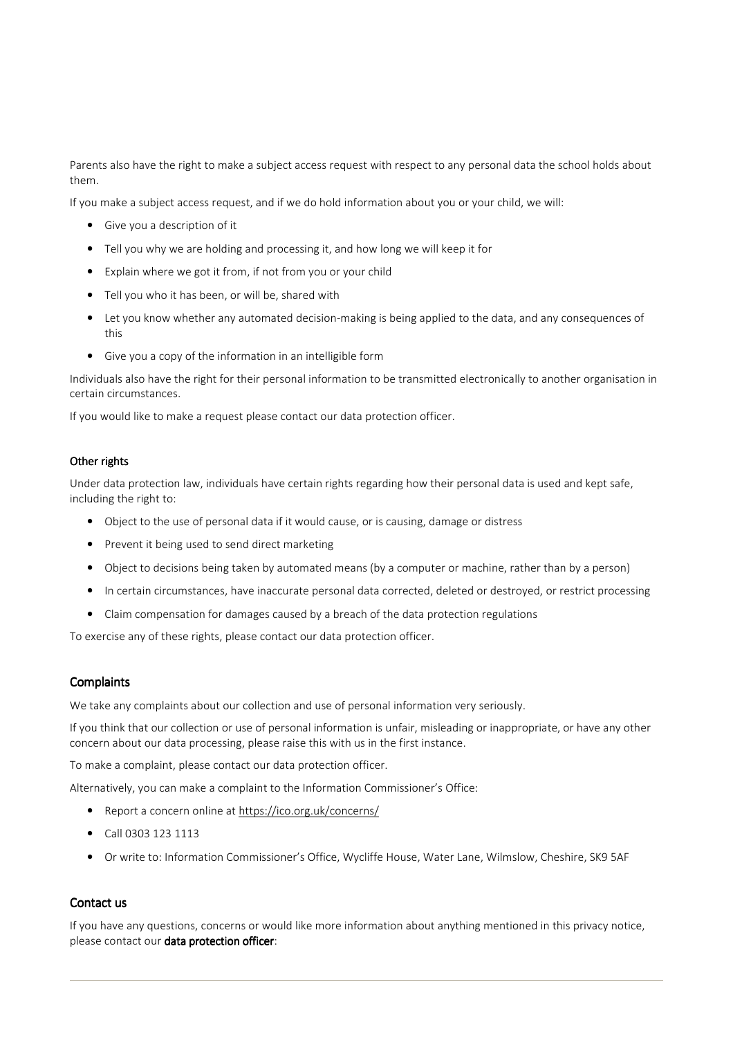Parents also have the right to make a subject access request with respect to any personal data the school holds about them.

If you make a subject access request, and if we do hold information about you or your child, we will:

- Give you a description of it
- Tell you why we are holding and processing it, and how long we will keep it for
- Explain where we got it from, if not from you or your child
- Tell you who it has been, or will be, shared with
- Let you know whether any automated decision-making is being applied to the data, and any consequences of this
- Give you a copy of the information in an intelligible form

Individuals also have the right for their personal information to be transmitted electronically to another organisation in certain circumstances.

If you would like to make a request please contact our data protection officer.

#### Other rights

Under data protection law, individuals have certain rights regarding how their personal data is used and kept safe, including the right to:

- Object to the use of personal data if it would cause, or is causing, damage or distress
- Prevent it being used to send direct marketing
- Object to decisions being taken by automated means (by a computer or machine, rather than by a person)
- In certain circumstances, have inaccurate personal data corrected, deleted or destroyed, or restrict processing
- Claim compensation for damages caused by a breach of the data protection regulations

To exercise any of these rights, please contact our data protection officer.

#### **Complaints**

We take any complaints about our collection and use of personal information very seriously.

If you think that our collection or use of personal information is unfair, misleading or inappropriate, or have any other concern about our data processing, please raise this with us in the first instance.

To make a complaint, please contact our data protection officer.

Alternatively, you can make a complaint to the Information Commissioner's Office:

- Report a concern online at https://ico.org.uk/concerns/
- Call 0303 123 1113
- Or write to: Information Commissioner's Office, Wycliffe House, Water Lane, Wilmslow, Cheshire, SK9 5AF

### Contact us

If you have any questions, concerns or would like more information about anything mentioned in this privacy notice, please contact our data protection officer: